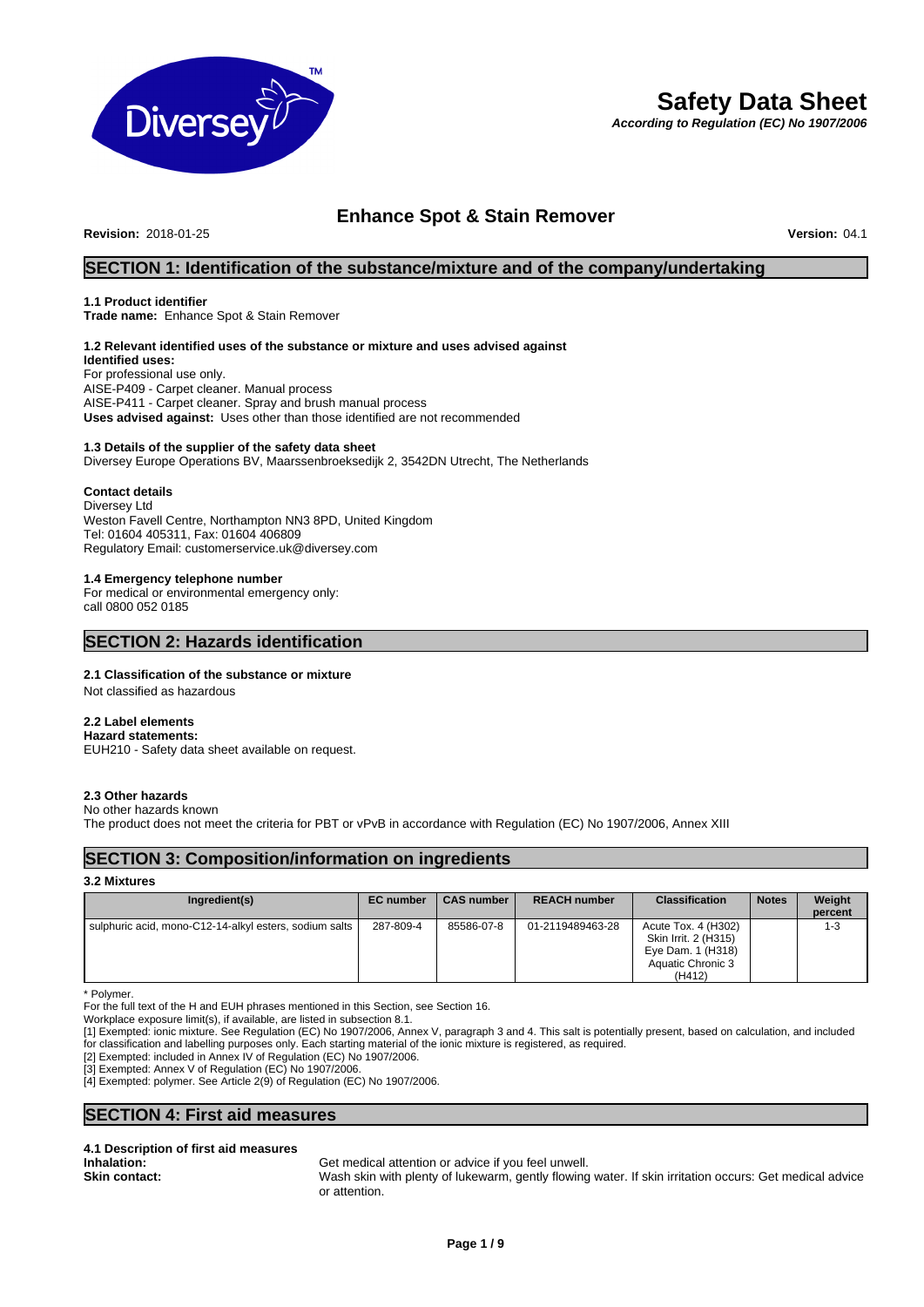

# **Safety Data Sheet**

*According to Regulation (EC) No 1907/2006*

## **Enhance Spot & Stain Remover**

**Revision:** 2018-01-25 **Version:** 04.1

### **SECTION 1: Identification of the substance/mixture and of the company/undertaking**

#### **1.1 Product identifier**

**Trade name:** Enhance Spot & Stain Remover

### **1.2 Relevant identified uses of the substance or mixture and uses advised against**

**Identified uses:** For professional use only. AISE-P409 - Carpet cleaner. Manual process AISE-P411 - Carpet cleaner. Spray and brush manual process **Uses advised against:** Uses other than those identified are not recommended

#### **1.3 Details of the supplier of the safety data sheet**

Diversey Europe Operations BV, Maarssenbroeksedijk 2, 3542DN Utrecht, The Netherlands

#### **Contact details**

Diversey Ltd Weston Favell Centre, Northampton NN3 8PD, United Kingdom Tel: 01604 405311, Fax: 01604 406809 Regulatory Email: customerservice.uk@diversey.com

### **1.4 Emergency telephone number**

For medical or environmental emergency only: call 0800 052 0185

### **SECTION 2: Hazards identification**

#### **2.1 Classification of the substance or mixture**

Not classified as hazardous

#### **2.2 Label elements**

**Hazard statements:**  EUH210 - Safety data sheet available on request.

#### **2.3 Other hazards**

No other hazards known

The product does not meet the criteria for PBT or vPvB in accordance with Regulation (EC) No 1907/2006, Annex XIII

### **SECTION 3: Composition/information on ingredients**

#### **3.2 Mixtures**

| Ingredient(s)                                          | <b>EC</b> number | CAS number | <b>REACH number</b> | <b>Classification</b>                                                                           | <b>Notes</b> | Weight<br>percent |
|--------------------------------------------------------|------------------|------------|---------------------|-------------------------------------------------------------------------------------------------|--------------|-------------------|
| sulphuric acid, mono-C12-14-alkyl esters, sodium salts | 287-809-4        | 85586-07-8 | 01-2119489463-28    | Acute Tox. 4 (H302)<br>Skin Irrit. 2 (H315)<br>Eye Dam. 1 (H318)<br>Aquatic Chronic 3<br>(H412) |              | $1 - 3$           |

\* Polymer.

For the full text of the H and EUH phrases mentioned in this Section, see Section 16.

[1] Exempted: ionic mixture. See Regulation (EC) No 1907/2006, Annex V, paragraph 3 and 4. This salt is potentially present, based on calculation, and included for classification and labelling purposes only. Each starting material of the ionic mixture is registered, as required.

[2] Exempted: included in Annex IV of Regulation (EC) No 1907/2006.

[3] Exempted: Annex V of Regulation (EC) No 1907/2006.

[4] Exempted: polymer. See Article 2(9) of Regulation (EC) No 1907/2006.

### **SECTION 4: First aid measures**

# **4.1 Description of first aid measures**

**Inhalation:** Get medical attention or advice if you feel unwell.

**Skin contact:** Wash skin with plenty of lukewarm, gently flowing water. If skin irritation occurs: Get medical advice or attention.

Workplace exposure limit(s), if available, are listed in subsection 8.1.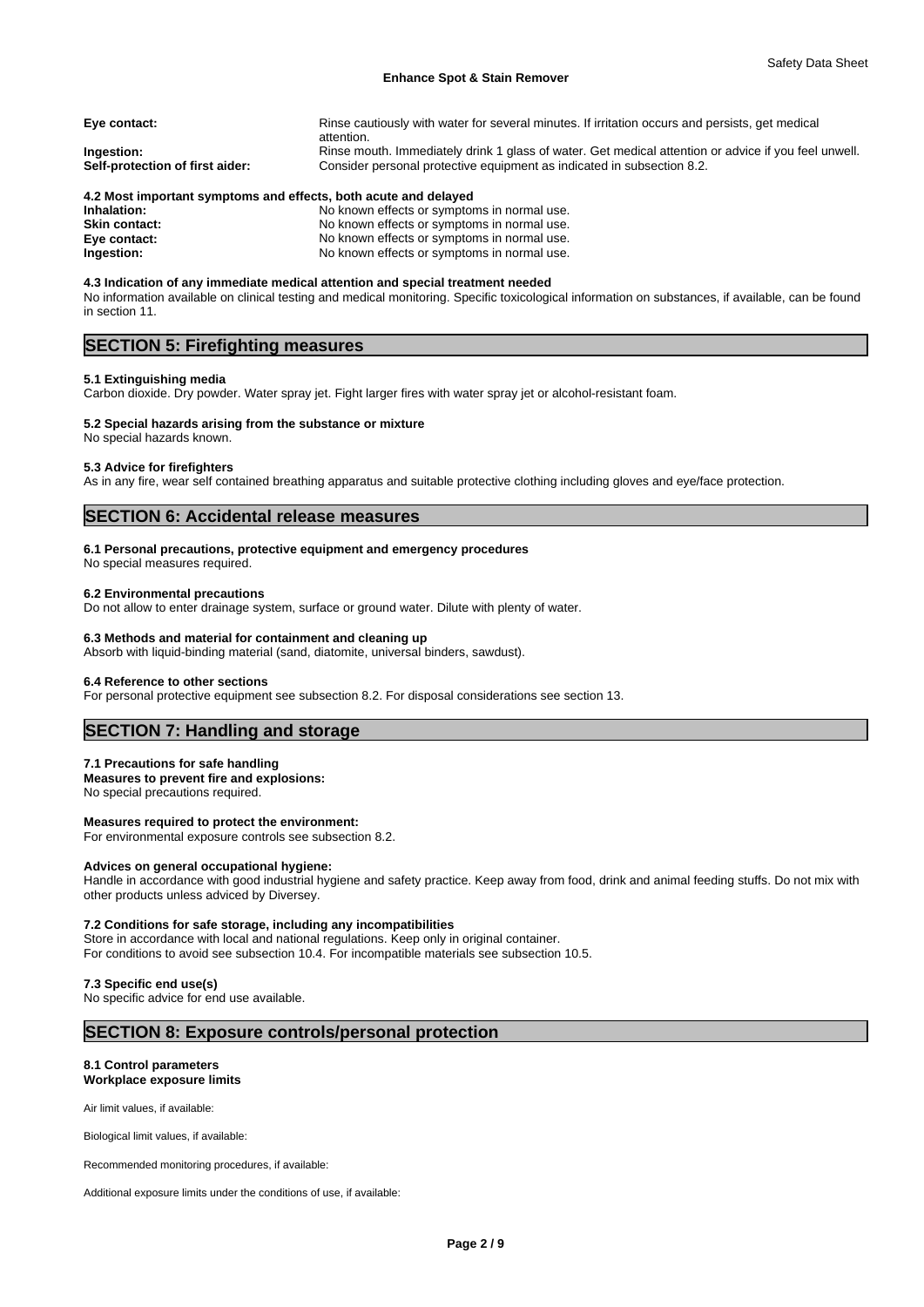#### **Enhance Spot & Stain Remover**

| Eye contact:                                  | Rinse cautiously with water for several minutes. If irritation occurs and persists, get medical<br>attention.                                                                  |
|-----------------------------------------------|--------------------------------------------------------------------------------------------------------------------------------------------------------------------------------|
| Ingestion:<br>Self-protection of first aider: | Rinse mouth. Immediately drink 1 glass of water. Get medical attention or advice if you feel unwell.<br>Consider personal protective equipment as indicated in subsection 8.2. |
| .                                             |                                                                                                                                                                                |

#### **4.2 Most important symptoms and effects, both acute and delayed**

| Inhalation:   | No known effects or symptoms in normal use. |
|---------------|---------------------------------------------|
| Skin contact: | No known effects or symptoms in normal use. |
| Eye contact:  | No known effects or symptoms in normal use. |
| Ingestion:    | No known effects or symptoms in normal use. |

**4.3 Indication of any immediate medical attention and special treatment needed** No information available on clinical testing and medical monitoring. Specific toxicological information on substances, if available, can be found in section 11.

## **SECTION 5: Firefighting measures**

#### **5.1 Extinguishing media**

Carbon dioxide. Dry powder. Water spray jet. Fight larger fires with water spray jet or alcohol-resistant foam.

## **5.2 Special hazards arising from the substance or mixture**

No special hazards known.

### **5.3 Advice for firefighters**

As in any fire, wear self contained breathing apparatus and suitable protective clothing including gloves and eye/face protection.

### **SECTION 6: Accidental release measures**

#### **6.1 Personal precautions, protective equipment and emergency procedures**

No special measures required.

#### **6.2 Environmental precautions**

Do not allow to enter drainage system, surface or ground water. Dilute with plenty of water.

#### **6.3 Methods and material for containment and cleaning up**

Absorb with liquid-binding material (sand, diatomite, universal binders, sawdust).

#### **6.4 Reference to other sections**

For personal protective equipment see subsection 8.2. For disposal considerations see section 13.

### **SECTION 7: Handling and storage**

#### **7.1 Precautions for safe handling**

**Measures to prevent fire and explosions:** No special precautions required.

### **Measures required to protect the environment:**

For environmental exposure controls see subsection 8.2.

#### **Advices on general occupational hygiene:**

Handle in accordance with good industrial hygiene and safety practice. Keep away from food, drink and animal feeding stuffs. Do not mix with other products unless adviced by Diversey.

#### **7.2 Conditions for safe storage, including any incompatibilities**

Store in accordance with local and national regulations. Keep only in original container. For conditions to avoid see subsection 10.4. For incompatible materials see subsection 10.5.

#### **7.3 Specific end use(s)**

No specific advice for end use available.

### **SECTION 8: Exposure controls/personal protection**

## **8.1 Control parameters**

**Workplace exposure limits**

Air limit values, if available:

Biological limit values, if available:

Recommended monitoring procedures, if available:

Additional exposure limits under the conditions of use, if available: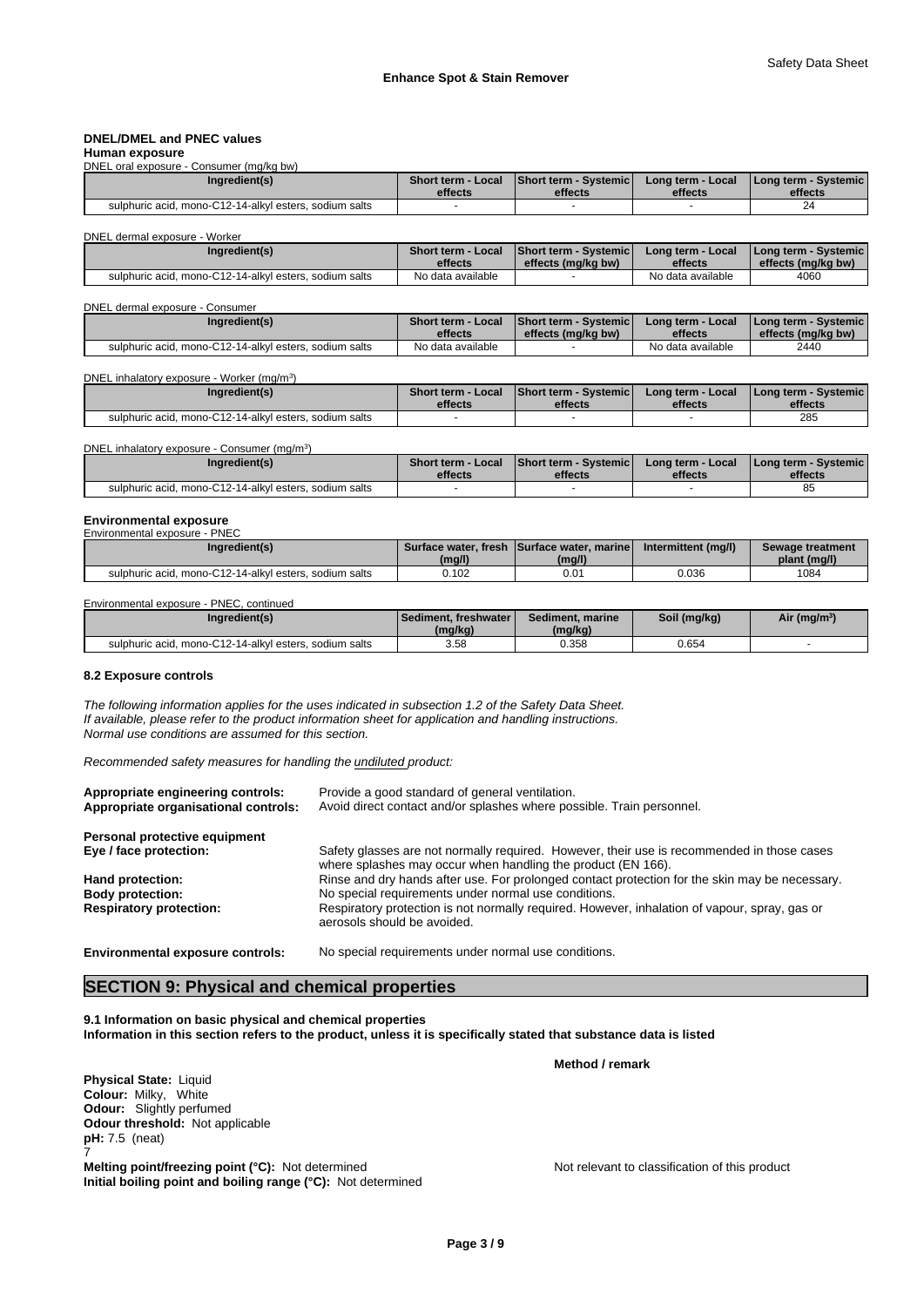#### **DNEL/DMEL and PNEC values**

#### **Human exposure** DNEL oral exposure - Consumer (mg/kg bw)

| Ingredient(s)<br>Short term - Systemic<br><b>Short term - Local</b><br>Long term - Local<br><b>I Long term - Systemic I</b><br>effects<br>effects<br>effects<br>effects<br>sulphuric acid. mono-C12-14-alkyl esters, sodium salts<br>24 | $\cdots$ . The state of the state of the state of $\cdots$ |  |  |
|-----------------------------------------------------------------------------------------------------------------------------------------------------------------------------------------------------------------------------------------|------------------------------------------------------------|--|--|
|                                                                                                                                                                                                                                         |                                                            |  |  |
|                                                                                                                                                                                                                                         |                                                            |  |  |
|                                                                                                                                                                                                                                         |                                                            |  |  |

DNEL dermal exposure - Worker

| Ingredient(s)                                          | <b>Short term - Local</b> | Short term - Systemic | Long term - Local | <b>I Long term - Systemic I</b> |
|--------------------------------------------------------|---------------------------|-----------------------|-------------------|---------------------------------|
|                                                        | effects                   | effects (mg/kg bw)    | effects           | effects (mg/kg bw)              |
| sulphuric acid. mono-C12-14-alkyl esters, sodium salts | No data available         |                       | No data available | 4060                            |

#### DNEL dermal exposure - Consumer

| Ingredient(s)                                          | <b>Short term - Local</b> | <b>IShort term - Systemic I</b> | Long term - Local | I Long term - Systemic I |
|--------------------------------------------------------|---------------------------|---------------------------------|-------------------|--------------------------|
|                                                        | effects                   | effects (mg/kg bw)              | effects           | effects (mg/kg bw)       |
| sulphuric acid. mono-C12-14-alkyl esters, sodium salts | No data available         |                                 | No data available | 2440                     |

DNEL inhalatory exposure - Worker (mg/m<sup>3</sup>)  $)$ 

| Ingredient(s)                                          | <b>Short term - Local</b><br>effects | <b>Short term - Systemich</b><br>effects | Long term - Local<br>effects | I Long term - Systemic I<br>effects |
|--------------------------------------------------------|--------------------------------------|------------------------------------------|------------------------------|-------------------------------------|
| sulphuric acid. mono-C12-14-alkyl esters, sodium salts |                                      |                                          |                              | 285                                 |

| DNEL inhalatory exposure - Consumer (mg/m <sup>3</sup> ) |                           |                              |                   |                                 |  |  |  |
|----------------------------------------------------------|---------------------------|------------------------------|-------------------|---------------------------------|--|--|--|
| Ingredient(s)                                            | <b>Short term - Local</b> | <b>Short term - Systemic</b> | Long term - Local | <b>I Long term - Systemic I</b> |  |  |  |
|                                                          | effects                   | effects                      | effects           | effects                         |  |  |  |
| sulphuric acid. mono-C12-14-alkyl esters, sodium salts   |                           |                              |                   | 85                              |  |  |  |

# **Environmental exposure** Environmental exposure - PNEC

| Ingredient(s)                                          | (mg/l) | Surface water, fresh Surface water, marinel<br>(mg/l) | Intermittent (mg/l) | Sewage treatment<br>plant (mg/l) |
|--------------------------------------------------------|--------|-------------------------------------------------------|---------------------|----------------------------------|
| sulphuric acid, mono-C12-14-alkyl esters, sodium salts | 0.102  | 0.0 <sup>.</sup>                                      | 0.036               | 1084                             |

### Environmental exposure - PNEC, continued

| Ingredient(s)                                          | Sediment. freshwater  <br>(mg/kg) | Sediment, marine<br>(mg/kg) | Soil (mg/kg) | Air (mg/m <sup>3</sup> ) |
|--------------------------------------------------------|-----------------------------------|-----------------------------|--------------|--------------------------|
| sulphuric acid. mono-C12-14-alkyl esters, sodium salts | 3.58                              | 0.358                       | 0.654        |                          |

#### **8.2 Exposure controls**

*The following information applies for the uses indicated in subsection 1.2 of the Safety Data Sheet. If available, please refer to the product information sheet for application and handling instructions. Normal use conditions are assumed for this section.*

*Recommended safety measures for handling the undiluted product:*

| Appropriate engineering controls:<br>Appropriate organisational controls: | Provide a good standard of general ventilation.<br>Avoid direct contact and/or splashes where possible. Train personnel.                                   |
|---------------------------------------------------------------------------|------------------------------------------------------------------------------------------------------------------------------------------------------------|
| Personal protective equipment                                             |                                                                                                                                                            |
| Eye / face protection:                                                    | Safety glasses are not normally required. However, their use is recommended in those cases<br>where splashes may occur when handling the product (EN 166). |
| Hand protection:                                                          | Rinse and dry hands after use. For prolonged contact protection for the skin may be necessary.                                                             |
| <b>Body protection:</b>                                                   | No special requirements under normal use conditions.                                                                                                       |
| <b>Respiratory protection:</b>                                            | Respiratory protection is not normally required. However, inhalation of vapour, spray, gas or<br>aerosols should be avoided.                               |
|                                                                           |                                                                                                                                                            |

**Environmental exposure controls:** No special requirements under normal use conditions.

### **SECTION 9: Physical and chemical properties**

**9.1 Information on basic physical and chemical properties Information in this section refers to the product, unless it is specifically stated that substance data is listed**

**Physical State:** Liquid **Colour:** Milky, White **Odour:** Slightly perfumed **Odour threshold:** Not applicable **pH:** 7.5 (neat) 7 **Melting point/freezing point (°C):** Not determined Not relevant to classification of this product **Initial boiling point and boiling range (°C):** Not determined

**Method / remark**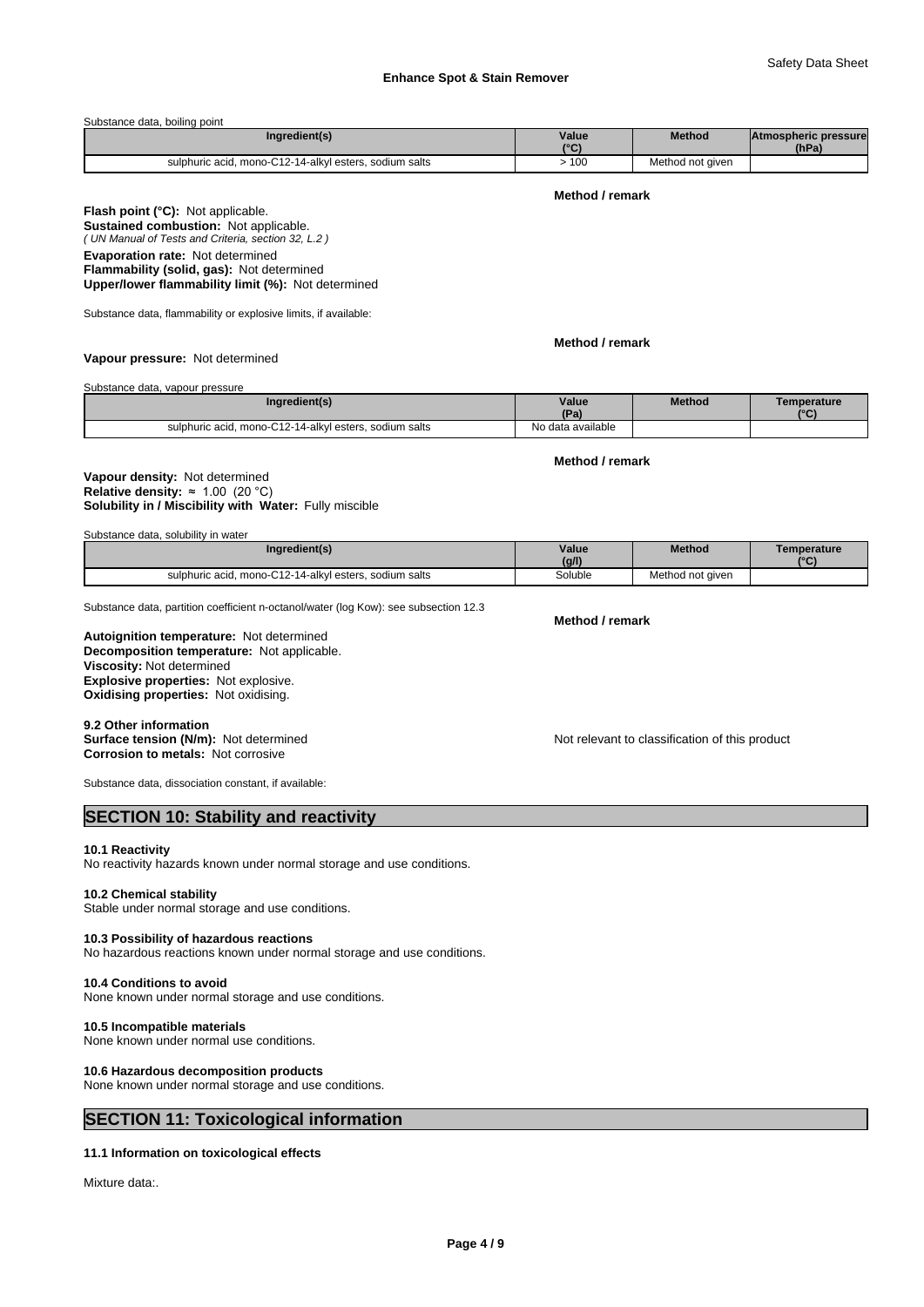#### Substance data, boiling point

| Ingredient(s)                                          | Value<br>10 <sub>0</sub> | <b>Method</b>    | <b>Atmospheric pressure</b><br>(hPa) |  |
|--------------------------------------------------------|--------------------------|------------------|--------------------------------------|--|
| sulphuric acid, mono-C12-14-alkyl esters, sodium salts | 100                      | Method not given |                                      |  |

#### **Method / remark**

*( UN Manual of Tests and Criteria, section 32, L.2 )* **Flash point (°C):** Not applicable. **Sustained combustion:** Not applicable. **Evaporation rate:** Not determined **Flammability (solid, gas):** Not determined **Upper/lower flammability limit (%):** Not determined

Substance data, flammability or explosive limits, if available:

**Method / remark**

**Vapour pressure:** Not determined

Substance data, vapour pressure

| Ingredient(s)                                                | Value<br>(Pa)     | Method | Temperature<br>$10^{\circ}$ |
|--------------------------------------------------------------|-------------------|--------|-----------------------------|
| 1, mono-C12-14-alkyl esters, sodium salts<br>sulphuric acid. | No data available |        |                             |

**Method / remark**

#### **Solubility in / Miscibility with Water:** Fully miscible **Vapour density:** Not determined **Relative density:** ≈1.00(20°C)

| Substance data, solubility in water |  |
|-------------------------------------|--|
|-------------------------------------|--|

| Ingredient(s)                                          | Value<br>(g/l) | <b>Method</b>    | Temperature<br>10 <sup>o</sup> |
|--------------------------------------------------------|----------------|------------------|--------------------------------|
| sulphuric acid, mono-C12-14-alkyl esters, sodium salts | Soluble<br>.   | Method not given |                                |

Substance data, partition coefficient n-octanol/water (log Kow): see subsection 12.3

**Decomposition temperature:** Not applicable. **Autoignition temperature:** Not determined **Viscosity:** Not determined **Explosive properties:** Not explosive. **Oxidising properties:** Not oxidising.

9.2 Other information<br>Surface tension (N/m): Not determined **Corrosion to metals:** Not corrosive

Not relevant to classification of this product

Substance data, dissociation constant, if available:

### **SECTION 10: Stability and reactivity**

#### **10.1 Reactivity**

No reactivity hazards known under normal storage and use conditions.

#### **10.2 Chemical stability**

Stable under normal storage and use conditions.

### **10.3 Possibility of hazardous reactions**

No hazardous reactions known under normal storage and use conditions.

# **10.4 Conditions to avoid**

None known under normal storage and use conditions.

### **10.5 Incompatible materials**

None known under normal use conditions.

#### **10.6 Hazardous decomposition products**

None known under normal storage and use conditions.

### **SECTION 11: Toxicological information**

#### **11.1 Information on toxicological effects**

Mixture data:

**Method / remark**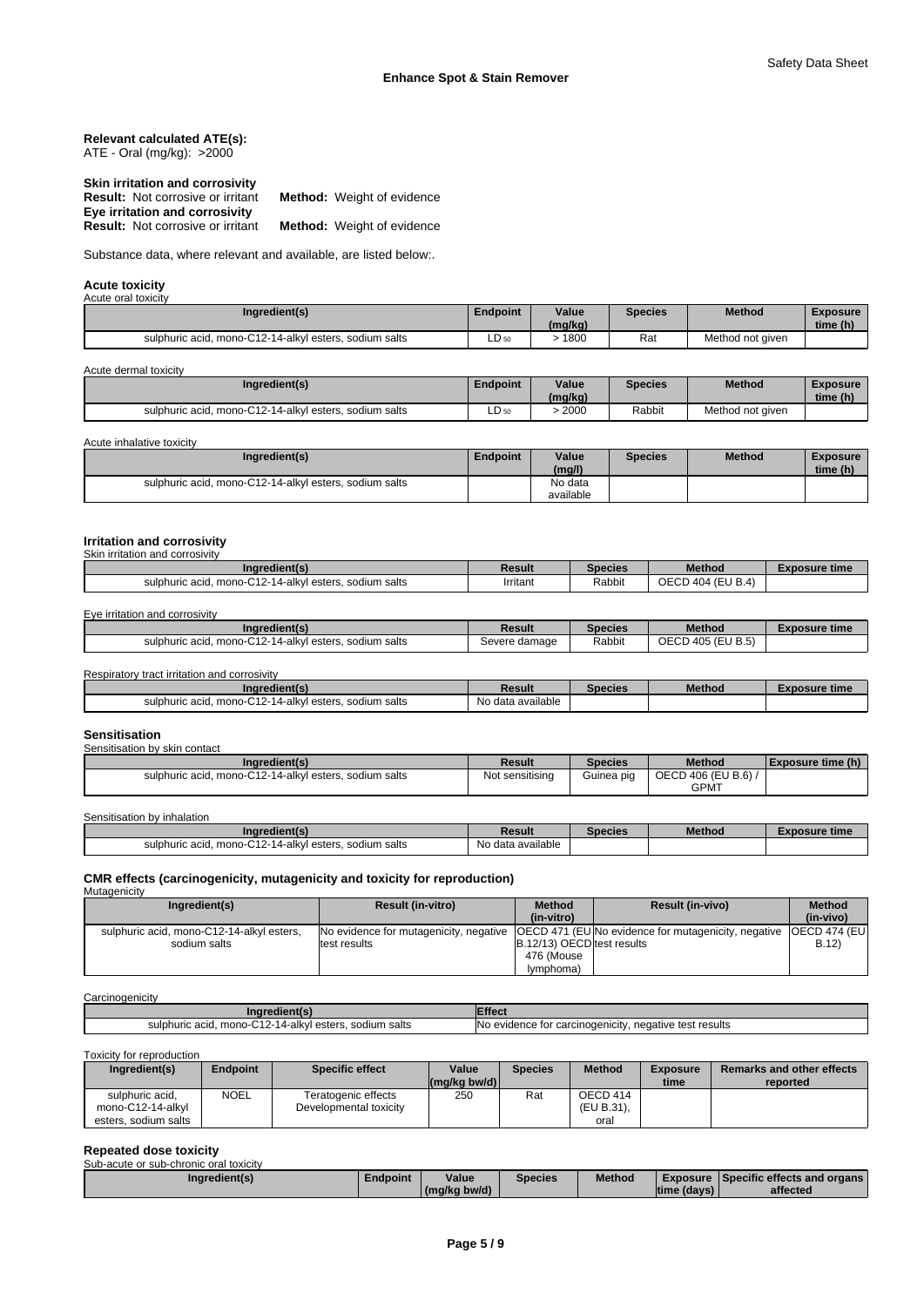#### **Relevant calculated ATE(s):** ATE - Oral (mg/kg): >2000

| Skin irritation and corrosivity          |                                   |
|------------------------------------------|-----------------------------------|
| <b>Result:</b> Not corrosive or irritant | <b>Method:</b> Weight of evidence |
| Eye irritation and corrosivity           |                                   |
| <b>Result:</b> Not corrosive or irritant | <b>Method:</b> Weight of evidence |

Substance data, where relevant and available, are listed below:.

#### **Acute toxicity** Acute oral toxi

| <u>19919 YIMI 1971911 Y</u>                            |                 |         |                |                  |          |  |
|--------------------------------------------------------|-----------------|---------|----------------|------------------|----------|--|
| Ingredient(s)                                          | <b>Endpoint</b> | Value   | <b>Species</b> | <b>Method</b>    | Exposure |  |
|                                                        |                 | (mg/kg) |                |                  | time (h) |  |
| sulphuric acid, mono-C12-14-alkyl esters, sodium salts | □<br>LD 50      | 1800    | Rat            | Method not given |          |  |

Acute dermal toxicity

L

|                 | Ingredient(s)                          | Endpoint   | Value<br>(mg/kg) | Species | <b>Method</b>    | <b>Exposure</b><br>time (h) |
|-----------------|----------------------------------------|------------|------------------|---------|------------------|-----------------------------|
| sulphuric acid. | mono-C12-14-alkyl esters, sodium salts | Ð<br>LD 50 | 2000             | Rabbit  | Method not given |                             |

Acute inhalative toxicity

| Ingredient(s)                                          | Endpoint | Value<br>(mg/l)      | <b>Species</b> | <b>Method</b> | <b>Exposure</b><br>time (h) |  |
|--------------------------------------------------------|----------|----------------------|----------------|---------------|-----------------------------|--|
| sulphuric acid, mono-C12-14-alkyl esters, sodium salts |          | No data<br>available |                |               |                             |  |

#### **Irritation and corrosivity** Skin irritation and corrosivity

| Ingredient(s)                                          | Result   | <b>Species</b> | <b>Method</b>     | Exposure time |
|--------------------------------------------------------|----------|----------------|-------------------|---------------|
| sulphuric acid. mono-C12-14-alkyl esters, sodium salts | Irritant | Rabbit         | OECD 404 (EU B.4) |               |

Eye irritation and corrosivity

| <b>redient</b> (s)<br>ına                                                 | Result        | Species | Method                                           | Exposure time |
|---------------------------------------------------------------------------|---------------|---------|--------------------------------------------------|---------------|
| 0.40.44<br>sodium salts<br>. mono-C12-14-alkvl esters.<br>sulphuric acid. | Severe damage | Rabbit  | (EU B.5)<br>$\sim$ $\sim$ $\sim$<br>1.40F<br>ーいい |               |

Respiratory tract irritation and corrosivity

| Ingredient(s)                                                                      | Result            | Species | <b>Method</b> | osure time |
|------------------------------------------------------------------------------------|-------------------|---------|---------------|------------|
| <b></b><br>`-14-alkvl esters.<br>. sodium salts<br>. mono-C12-1<br>sulphuric acid. | No data available |         |               |            |

#### **Sensitisation**

Sensitisation by skin contact

| Ingredient(s)                                          | Result          | <b>Species</b> | <b>Method</b>     | Exposure time (h) |
|--------------------------------------------------------|-----------------|----------------|-------------------|-------------------|
| sulphuric acid. mono-C12-14-alkyl esters, sodium salts | Not sensitising | Guinea pig     | OECD 406 (EU B.6) |                   |
|                                                        |                 |                | <b>GPMT</b>       |                   |

| Sensitisation<br>bv inhalation ו                       |                   |         |               |               |
|--------------------------------------------------------|-------------------|---------|---------------|---------------|
| Inaredient(s)                                          | Result            | Species | <b>Method</b> | Exposure time |
| sulphuric acid. mono-C12-14-alkyl esters, sodium salts | No data available |         |               |               |

# **CMR effects (carcinogenicity, mutagenicity and toxicity for reproduction)** Mutagenicity

| <b>IVIULUY</b>                            |                          |                            |                                                                                                             |           |
|-------------------------------------------|--------------------------|----------------------------|-------------------------------------------------------------------------------------------------------------|-----------|
| Ingredient(s)                             | <b>Result (in-vitro)</b> | <b>Method</b>              | <b>Result (in-vivo)</b>                                                                                     | Method    |
|                                           |                          | (in-vitro)                 |                                                                                                             | (in-vivo) |
| sulphuric acid, mono-C12-14-alkyl esters, |                          |                            | No evidence for mutagenicity, negative   OECD 471 (EUNo evidence for mutagenicity, negative   OECD 474 (EU) |           |
| sodium salts                              | test results             | B.12/13) OECD test results |                                                                                                             | B.12      |
|                                           |                          | 476 (Mouse                 |                                                                                                             |           |
|                                           |                          | (lymphoma                  |                                                                                                             |           |

#### **Carcinogenicity**

| naredient(s                                                             | .ffec                                                      |
|-------------------------------------------------------------------------|------------------------------------------------------------|
| salts<br>, mono-C12-14-alkyl esters<br>sulphuric acid.<br>sodium<br>$-$ | negative test results<br>r carcinoɑenicitv<br>evidence for |

Toxicity for reproduction

| Ingredient(s)                        | Endpoint    | <b>Specific effect</b>                        | Value<br>$(mq/kg)$ bw/d) | <b>Species</b> | <b>Method</b>          | <b>Exposure</b><br>time | Remarks and other effects<br>reported |
|--------------------------------------|-------------|-----------------------------------------------|--------------------------|----------------|------------------------|-------------------------|---------------------------------------|
| sulphuric acid,<br>mono-C12-14-alkvl | <b>NOEL</b> | Teratogenic effects<br>Developmental toxicity | 250                      | Rat            | OECD 414<br>(EU B.31), |                         |                                       |
| esters, sodium salts                 |             |                                               |                          |                | oral                   |                         |                                       |

| <b>Repeated dose toxicity</b>          |          |              |                |               |             |                                               |  |
|----------------------------------------|----------|--------------|----------------|---------------|-------------|-----------------------------------------------|--|
| Sub-acute or sub-chronic oral toxicity |          |              |                |               |             |                                               |  |
| Ingredient(s)                          | Endpoint | Value        | <b>Species</b> | <b>Method</b> |             | <b>Exposure Specific effects and organs I</b> |  |
|                                        |          | (mg/kg bw/d) |                |               | time (days) | affected                                      |  |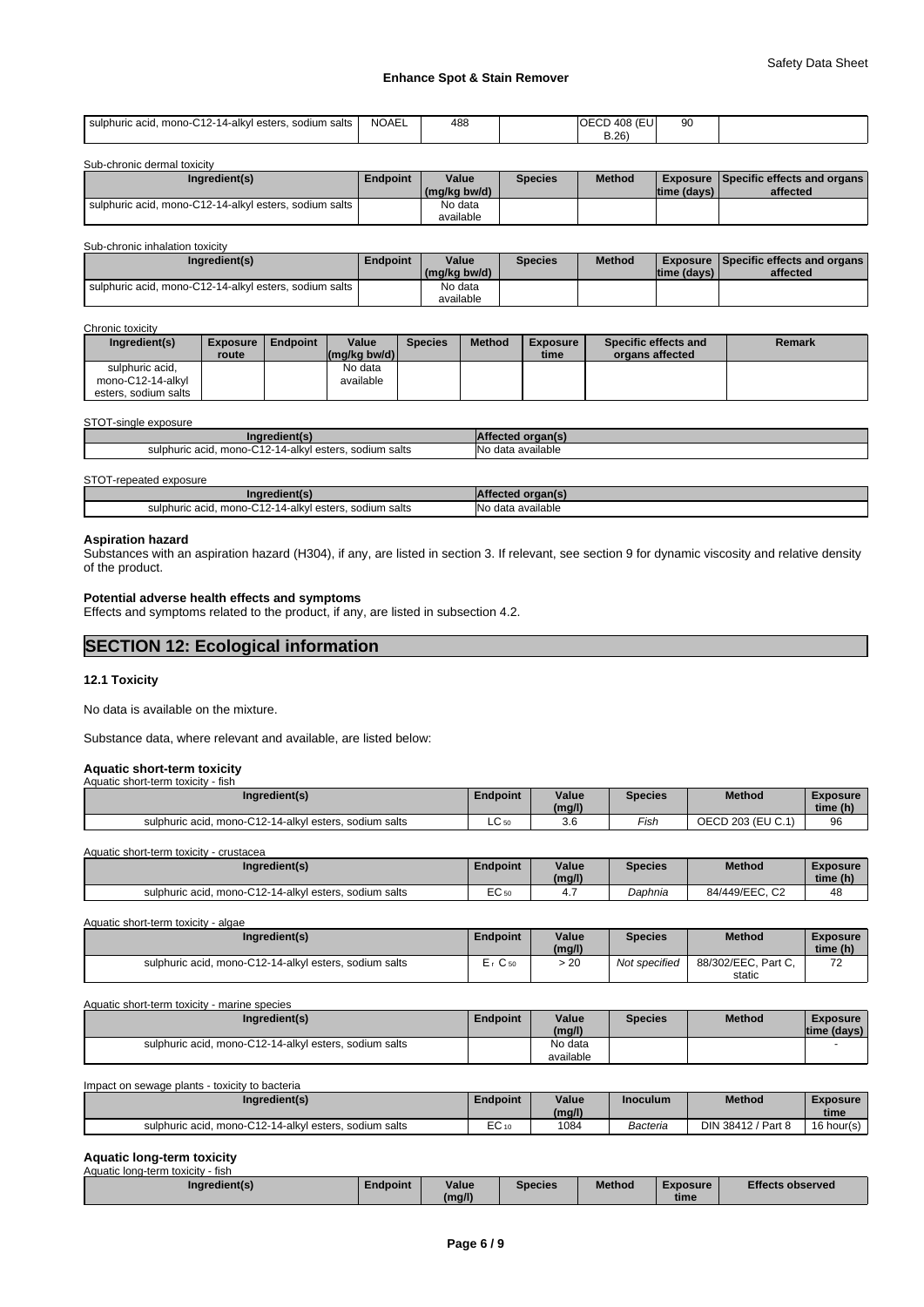### **Enhance Spot & Stain Remover**

| sulphuric acid, mono-C12-14-alkyl esters,<br>sodium salts | NOAEL | 488 | $-408($<br>$\sim$<br>ΙOΕ<br>:U | nn<br>◡ |  |
|-----------------------------------------------------------|-------|-----|--------------------------------|---------|--|
|                                                           |       |     | B.26<br>. .                    |         |  |

| Sub-chronic dermal toxicity                            |                 |              |                |               |             |                                                 |
|--------------------------------------------------------|-----------------|--------------|----------------|---------------|-------------|-------------------------------------------------|
| Ingredient(s)                                          | <b>Endpoint</b> | Value        | <b>Species</b> | <b>Method</b> |             | <b>Exposure   Specific effects and organs  </b> |
|                                                        |                 | (mg/kg bw/d) |                |               | time (days) | affected                                        |
| sulphuric acid, mono-C12-14-alkyl esters, sodium salts |                 | No data      |                |               |             |                                                 |
|                                                        |                 | available    |                |               |             |                                                 |

#### Sub-chronic inhalation toxicity

| Ingredient(s)                                          | <b>Endpoint</b> | Value<br>(mg/kg bw/d) | <b>Species</b> | <b>Method</b> | $time$ (days) | <b>Exposure Specific effects and organs I</b><br>affected |
|--------------------------------------------------------|-----------------|-----------------------|----------------|---------------|---------------|-----------------------------------------------------------|
| sulphuric acid, mono-C12-14-alkyl esters, sodium salts |                 | No data<br>available  |                |               |               |                                                           |

#### Chronic toxicity

| Ingredient(s)                        | <b>Exposure</b><br>route | <b>Endpoint</b> | Value<br>$\left \frac{\text{mg}}{\text{kg}}\right $ (mg/kg bw/d) | <b>Species</b> | <b>Method</b> | <b>Exposure</b><br>time | Specific effects and<br>organs affected | Remark |
|--------------------------------------|--------------------------|-----------------|------------------------------------------------------------------|----------------|---------------|-------------------------|-----------------------------------------|--------|
| sulphuric acid,<br>mono-C12-14-alkyl |                          |                 | No data<br>available                                             |                |               |                         |                                         |        |
| esters, sodium salts                 |                          |                 |                                                                  |                |               |                         |                                         |        |

#### STOT-single exposure

| -<br>ı salts<br>14-alkvl<br>0.015<br>mono-0<br>sodium<br>sulphuric<br>' esters.<br>.<br>auu<br>____<br>. . | <b>Nc</b><br>data available<br>. |
|------------------------------------------------------------------------------------------------------------|----------------------------------|

#### STOT-repeated exposure

| edient<br>AIV                                                                                            |                                                      |
|----------------------------------------------------------------------------------------------------------|------------------------------------------------------|
| л.<br>⊥4-alkv<br>salts<br>sulphuric<br>sodium<br>ester<br>mono-<br>$\sim$<br>$\cdots$<br>וסופו<br>.<br>. | <b>No</b><br>. data<br>available<br>.<br>$\sim$<br>. |

#### **Aspiration hazard**

Substances with an aspiration hazard (H304), if any, are listed in section 3. If relevant, see section 9 for dynamic viscosity and relative density of the product.

### **Potential adverse health effects and symptoms**

Effects and symptoms related to the product, if any, are listed in subsection 4.2.

### **SECTION 12: Ecological information**

#### **12.1 Toxicity**

No data is available on the mixture.

Substance data, where relevant and available, are listed below:

# **Aquatic short-term toxicity** Aquatic short-term toxicity - fish

| <b>AUGULO SHOLL-LEFTIT LOAIGILY</b><br>ாவா                       |          |                 |                |                   |                             |
|------------------------------------------------------------------|----------|-----------------|----------------|-------------------|-----------------------------|
| Ingredient(s)                                                    | Endpoint | Value<br>(mg/l) | <b>Species</b> | <b>Method</b>     | <b>Exposure</b><br>time (h) |
| , mono-C12-14-alkyl esters,<br>sulphuric acid.<br>. sodium salts | LC 50    | $\sim$<br>v.c   | Fish           | OECD 203 (EU C.1) | 96                          |

Aquatic short-term toxicity - crustacea

| Ingredient(s)                                                    | Endpoint      | Value<br>(mg/l) | <b>Species</b> | Method                     | Exposure<br>time (h) |
|------------------------------------------------------------------|---------------|-----------------|----------------|----------------------------|----------------------|
| , mono-C12-14-alkyl esters,<br>sulphuric acid.<br>. sodium salts | $\sim$<br>ᆮ◡ы | 4.,             | Daphnia        | $\sim$<br>84/449/EEC.<br>ັ | 48                   |

Aquatic short-term toxicity - algae

| Ingredient(s)                                          | Endpoint          | Value  | <b>Species</b> | <b>Method</b>       | <b>Exposure</b>               |  |
|--------------------------------------------------------|-------------------|--------|----------------|---------------------|-------------------------------|--|
|                                                        |                   | (mg/l) |                |                     | time (h)                      |  |
| sulphuric acid, mono-C12-14-alkyl esters, sodium salts | $\sim$<br>≞r C 50 | 20 ۰   | Not specified  | 88/302/EEC, Part C, | $\overline{\phantom{a}}$<br>▵ |  |
|                                                        |                   |        |                | static              |                               |  |

Aquatic short-term toxicity - marine species

| Ingredient(s)                                          | <b>Endpoint</b> | Value     | <b>Species</b> | <b>Method</b> | <b>Exposure</b> |  |
|--------------------------------------------------------|-----------------|-----------|----------------|---------------|-----------------|--|
|                                                        |                 | (mg/l)    |                |               | time (days)     |  |
| sulphuric acid, mono-C12-14-alkyl esters, sodium salts |                 | No data   |                |               |                 |  |
|                                                        |                 | available |                |               |                 |  |

Impact on sewage plants - toxicity to bacteria

| Ingredient(s)                                          | Endpoint  | Value<br>(mg/l) | <b>Inoculum</b> | Method             | Exposure<br>time |
|--------------------------------------------------------|-----------|-----------------|-----------------|--------------------|------------------|
| sulphuric acid. mono-C12-14-alkyl esters, sodium salts | . ~<br>–∾ | 1084            | Bacteria        | DIN 38412 / Part 8 | 16 hour(s)       |

#### **Aquatic long-term toxicity**

| - fish<br>Aquatic long-term toxicity |          |        |         |               |                 |                         |
|--------------------------------------|----------|--------|---------|---------------|-----------------|-------------------------|
| Inaredient(s)                        | Endpoint | Value  | Species | <b>Method</b> | <b>Exposure</b> | <b>Effects observed</b> |
|                                      |          | (mg/l) |         |               | time            |                         |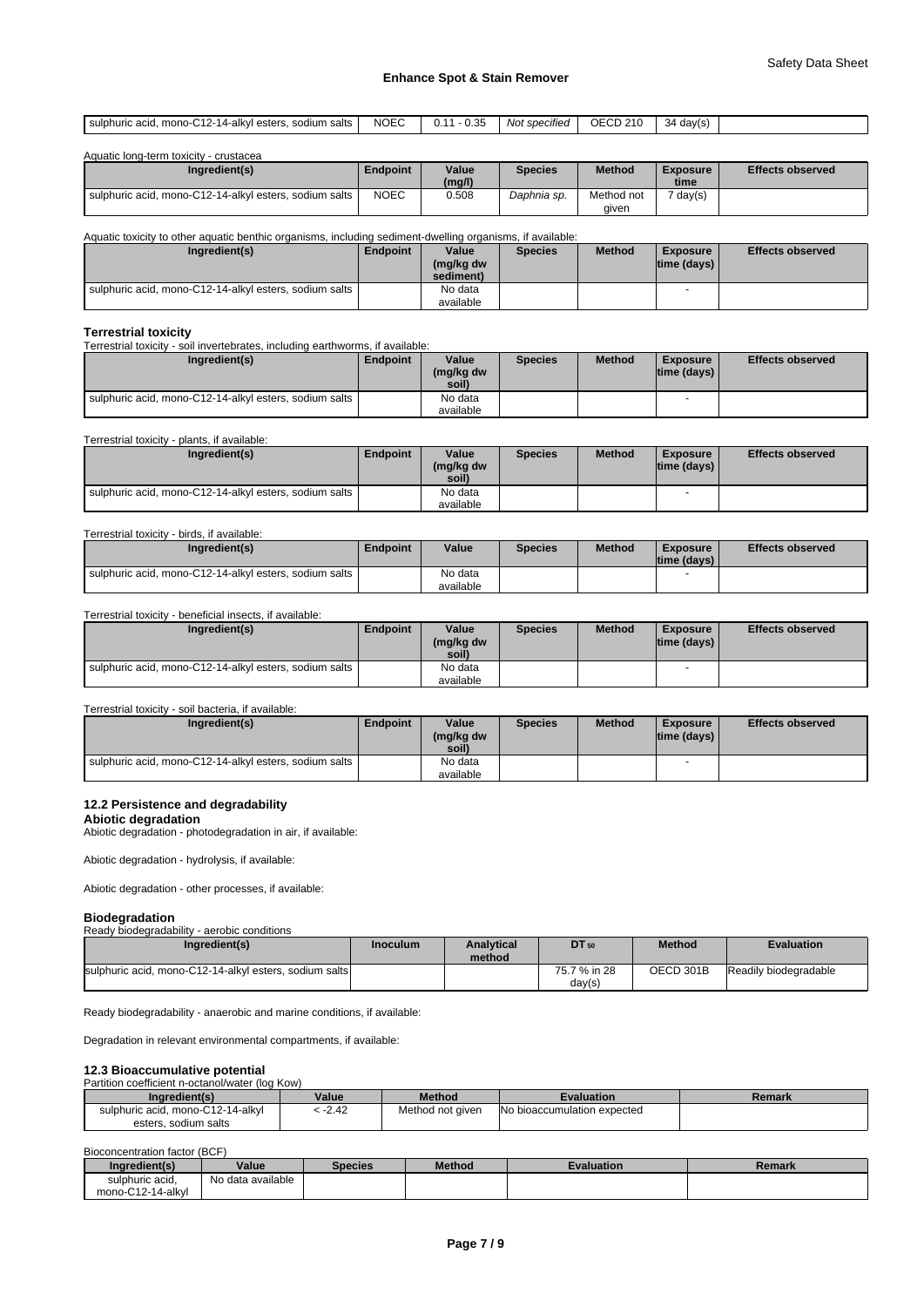#### **Enhance Spot & Stain Remover**

| NOEC<br>٦Е<br>ı salts<br>sulphuric<br>alkvl<br>sodium<br>Not specified<br>ectere<br>$\sim$<br>∴davie"<br>monc<br>$\overline{\phantom{a}}$<br>◡<br>auu<br>----<br>. <i>. .</i><br>$\cdot$<br>____<br>____<br>.<br>__ |
|---------------------------------------------------------------------------------------------------------------------------------------------------------------------------------------------------------------------|
|---------------------------------------------------------------------------------------------------------------------------------------------------------------------------------------------------------------------|

| Aquatic long-term toxicity - crustacea |  |
|----------------------------------------|--|
|                                        |  |

| Ingredient(s)                                          | Endpoint    | Value<br>(mg/l) | <b>Species</b> | <b>Method</b>       | <b>Exposure</b><br>time | <b>Effects observed</b> |
|--------------------------------------------------------|-------------|-----------------|----------------|---------------------|-------------------------|-------------------------|
| sulphuric acid. mono-C12-14-alkyl esters, sodium salts | <b>NOEC</b> | 0.508           | Daphnia sp.    | Method not<br>aiven | 7 day(s)                |                         |

Aquatic toxicity to other aquatic benthic organisms, including sediment-dwelling organisms, if available:

| Ingredient(s)                                              | Endpoint | Value<br>(mg/kg dw | <b>Species</b> | <b>Method</b> | <b>Exposure</b><br>$ time$ (days) $ $ | <b>Effects observed</b> |
|------------------------------------------------------------|----------|--------------------|----------------|---------------|---------------------------------------|-------------------------|
|                                                            |          | sediment)          |                |               |                                       |                         |
| I sulphuric acid. mono-C12-14-alkvl esters. sodium salts I |          | No data            |                |               |                                       |                         |
|                                                            |          | available          |                |               |                                       |                         |

**Terrestrial toxicity** Terrestrial toxicity - soil invertebrates, including earthworms, if available:

| Ingredient(s)                                          | <b>Endpoint</b> | Value<br>(mg/kg dw<br>soil) | <b>Species</b> | <b>Method</b> | <b>Exposure</b><br>$ time$ (days) $ $ | <b>Effects observed</b> |
|--------------------------------------------------------|-----------------|-----------------------------|----------------|---------------|---------------------------------------|-------------------------|
| sulphuric acid, mono-C12-14-alkyl esters, sodium salts |                 | No data                     |                |               |                                       |                         |
|                                                        |                 | available                   |                |               |                                       |                         |

#### Terrestrial toxicity - plants, if available:

| Ingredient(s)                                          | Endpoint | Value<br>(mg/kg dw<br>soil) | <b>Species</b> | <b>Method</b> | Exposure<br> time (days) | <b>Effects observed</b> |
|--------------------------------------------------------|----------|-----------------------------|----------------|---------------|--------------------------|-------------------------|
| sulphuric acid, mono-C12-14-alkyl esters, sodium salts |          | No data                     |                |               |                          |                         |
|                                                        |          | available                   |                |               |                          |                         |

#### Terrestrial toxicity - birds, if available:

| Ingredient(s)                                          | Endpoint | Value     | <b>Species</b> | <b>Method</b> | <b>Exposure</b><br>ltime (davs) l | <b>Effects observed</b> |
|--------------------------------------------------------|----------|-----------|----------------|---------------|-----------------------------------|-------------------------|
| sulphuric acid, mono-C12-14-alkyl esters, sodium salts |          | No data   |                |               |                                   |                         |
|                                                        |          | available |                |               |                                   |                         |

#### Terrestrial toxicity - beneficial insects, if available:

| Ingredient(s)                                          | Endpoint | Value<br>(mg/kg dw<br>soil) | <b>Species</b> | <b>Method</b> | <b>Exposure</b><br> time (days) | <b>Effects observed</b> |
|--------------------------------------------------------|----------|-----------------------------|----------------|---------------|---------------------------------|-------------------------|
| sulphuric acid, mono-C12-14-alkyl esters, sodium salts |          | No data                     |                |               |                                 |                         |
|                                                        |          | available                   |                |               |                                 |                         |

#### Terrestrial toxicity - soil bacteria, if available:

| Ingredient(s)                                          | <b>Endpoint</b> | Value<br>(mg/kg dw<br>soil) | <b>Species</b> | <b>Method</b> | <b>Exposure</b><br>Itime (davs) I | <b>Effects observed</b> |
|--------------------------------------------------------|-----------------|-----------------------------|----------------|---------------|-----------------------------------|-------------------------|
| sulphuric acid, mono-C12-14-alkyl esters, sodium salts |                 | No data<br>available        |                |               |                                   |                         |

### **12.2 Persistence and degradability**

**Abiotic degradation** Abiotic degradation - photodegradation in air, if available:

Abiotic degradation - hydrolysis, if available:

Abiotic degradation - other processes, if available:

# **Biodegradation**

| --------------<br>Ready biodegradability - aerobic conditions |                 |                   |              |               |                       |
|---------------------------------------------------------------|-----------------|-------------------|--------------|---------------|-----------------------|
| Ingredient(s)                                                 | <b>Inoculum</b> | <b>Analytical</b> | DT 50        | <b>Method</b> | <b>Evaluation</b>     |
| sulphuric acid, mono-C12-14-alkyl esters, sodium salts        |                 | method            | 75.7 % in 28 | OECD 301B     | Readily biodegradable |
|                                                               |                 |                   | day(s)       |               |                       |

Ready biodegradability - anaerobic and marine conditions, if available:

Degradation in relevant environmental compartments, if available:

#### **12.3 Bioaccumulative potential**

#### Partition coefficient n-octanol/water (log Kow)

| Ingredient(s)                     | Value   | <b>Method</b>    | Evaluation                  | Remark |
|-----------------------------------|---------|------------------|-----------------------------|--------|
| sulphuric acid. mono-C12-14-alkyl | $-2.42$ | Method not given | No bioaccumulation expected |        |
| esters, sodium salts              |         |                  |                             |        |

#### Bioconcentration factor (BCF)

| Ingredient(s)     | Value             | Species | <b>Method</b> | <b>Evaluation</b> | <b>Remark</b> |
|-------------------|-------------------|---------|---------------|-------------------|---------------|
| sulphuric acid.   | No data available |         |               |                   |               |
| mono-C12-14-alkyl |                   |         |               |                   |               |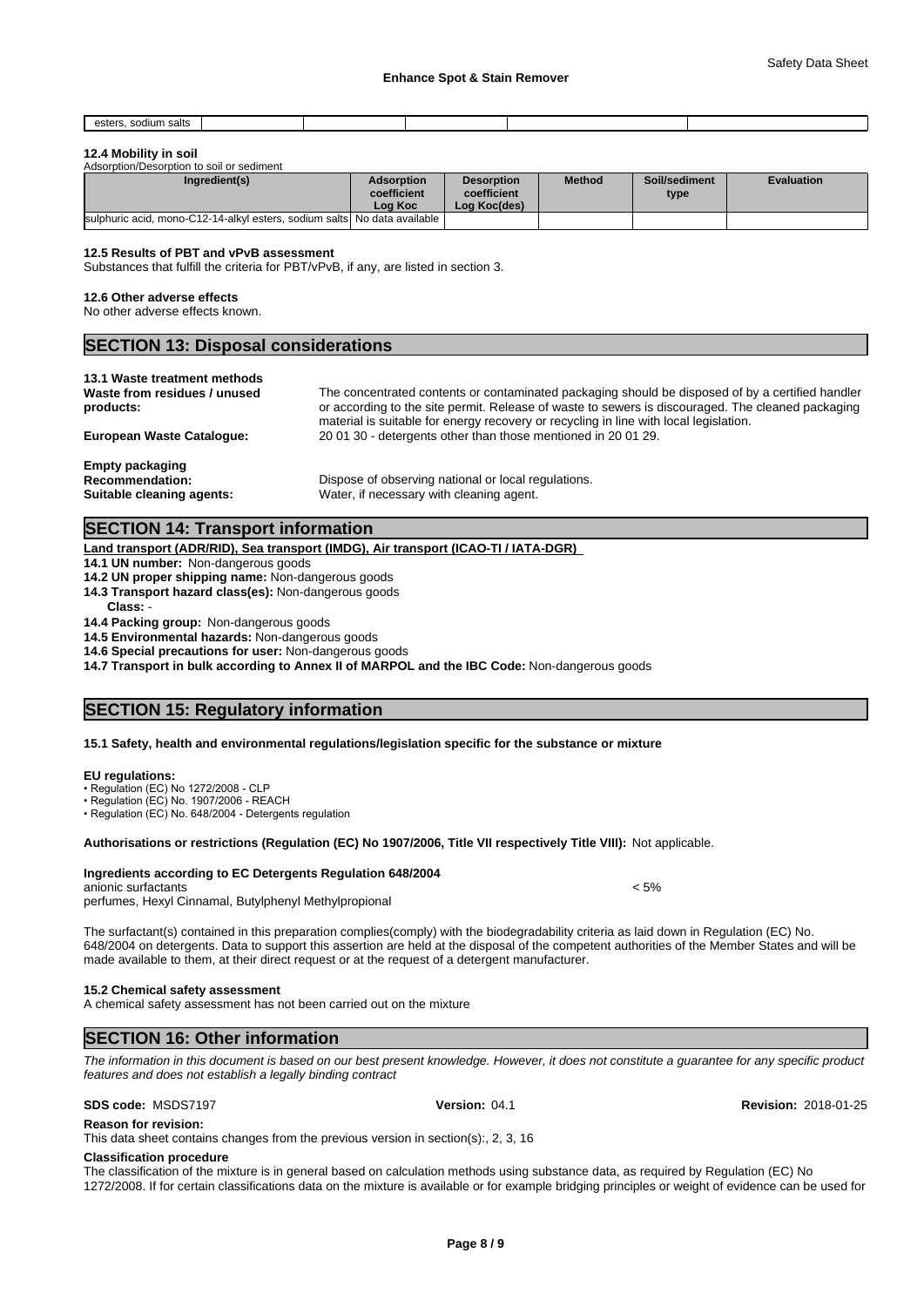| . sodium salts<br>esters |  |  |  |
|--------------------------|--|--|--|
|                          |  |  |  |

#### **12.4 Mobility in soil**

| Adsorption/Desorption to soil or sediment |  |
|-------------------------------------------|--|
|                                           |  |

| Ingredient(s)                                                             | <b>Adsorption</b><br>coefficient<br>Log Koc | <b>Desorption</b><br>coefficient<br>Log Koc(des) | <b>Method</b> | Soil/sediment<br>type | <b>Evaluation</b> |
|---------------------------------------------------------------------------|---------------------------------------------|--------------------------------------------------|---------------|-----------------------|-------------------|
| sulphuric acid. mono-C12-14-alkyl esters, sodium salts. No data available |                                             |                                                  |               |                       |                   |

#### **12.5 Results of PBT and vPvB assessment**

Substances that fulfill the criteria for PBT/vPvB, if any, are listed in section 3.

#### **12.6 Other adverse effects**

No other adverse effects known.

### **SECTION 13: Disposal considerations**

#### **13.1 Waste treatment methods**

| The concentrated contents or contaminated packaging should be disposed of by a certified handler  |
|---------------------------------------------------------------------------------------------------|
| or according to the site permit. Release of waste to sewers is discouraged. The cleaned packaging |
| material is suitable for energy recovery or recycling in line with local legislation.             |
| 200130 - detergents other than those mentioned in 200129.                                         |
|                                                                                                   |
|                                                                                                   |

**Empty packaging**

**Recommendation:** Dispose of observing national or local regulations. **Suitable cleaning agents:** Water, if necessary with cleaning agent.

### **SECTION 14: Transport information**

#### **Land transport (ADR/RID), Sea transport (IMDG), Air transport (ICAO-TI / IATA-DGR)**

- **14.1 UN number:** Non-dangerous goods
- **14.2 UN proper shipping name:** Non-dangerous goods
- **14.3 Transport hazard class(es):** Non-dangerous goods
- **Class:** -
- **14.4 Packing group:** Non-dangerous goods

**14.5 Environmental hazards:** Non-dangerous goods

**14.6 Special precautions for user:** Non-dangerous goods

**14.7 Transport in bulk according to Annex II of MARPOL and the IBC Code:** Non-dangerous goods

### **SECTION 15: Regulatory information**

#### **15.1 Safety, health and environmental regulations/legislation specific for the substance or mixture**

#### **EU regulations:**

• Regulation (EC) No 1272/2008 - CLP

· Regulation (EC) No. 1907/2006 - REACH

• Regulation (EC) No. 648/2004 - Detergents regulation

#### **Authorisations or restrictions (Regulation (EC) No 1907/2006, Title VII respectively Title VIII):** Not applicable.

#### **Ingredients according to EC Detergents Regulation 648/2004**

#### anionic surfactants < 5%

perfumes, Hexyl Cinnamal, Butylphenyl Methylpropional

The surfactant(s) contained in this preparation complies(comply) with the biodegradability criteria as laid down in Regulation (EC) No. 648/2004 on detergents. Data to support this assertion are held at the disposal of the competent authorities of the Member States and will be made available to them, at their direct request or at the request of a detergent manufacturer.

### **15.2 Chemical safety assessment**

A chemical safety assessment has not been carried out on the mixture

## **SECTION 16: Other information**

*The information in this document is based on our best present knowledge. However, it does not constitute a guarantee for any specific product features and does not establish a legally binding contract*

**Reason for revision:**

This data sheet contains changes from the previous version in section(s):, 2, 3, 16

#### **Classification procedure**

The classification of the mixture is in general based on calculation methods using substance data, as required by Regulation (EC) No 1272/2008. If for certain classifications data on the mixture is available or for example bridging principles or weight of evidence can be used for

**SDS code:** MSDS7197 **Version:** 04.1 **Revision:** 2018-01-25